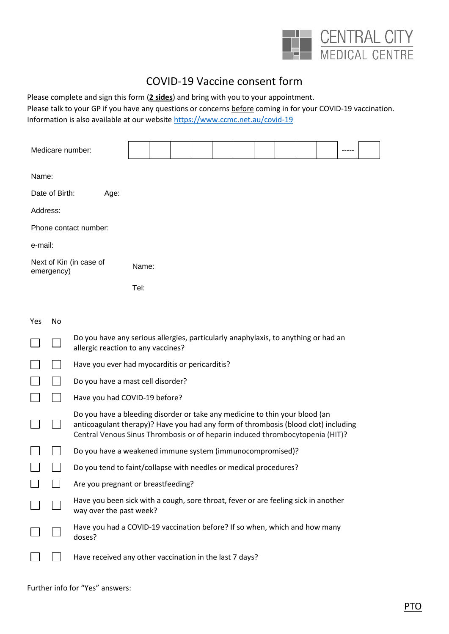

# COVID-19 Vaccine consent form

Please complete and sign this form (**2 sides**) and bring with you to your appointment. Please talk to your GP if you have any questions or concerns before coming in for your COVID-19 vaccination. Information is also available at our websit[e https://www.ccmc.net.au/covid-19](https://www.ccmc.net.au/covid-19)

| Medicare number:                      |                                                                                                                          |      |  |  |  |  |  |  |  |  |
|---------------------------------------|--------------------------------------------------------------------------------------------------------------------------|------|--|--|--|--|--|--|--|--|
| Name:                                 |                                                                                                                          |      |  |  |  |  |  |  |  |  |
| Date of Birth:<br>Age:                |                                                                                                                          |      |  |  |  |  |  |  |  |  |
| Address:                              |                                                                                                                          |      |  |  |  |  |  |  |  |  |
| Phone contact number:                 |                                                                                                                          |      |  |  |  |  |  |  |  |  |
| e-mail:                               |                                                                                                                          |      |  |  |  |  |  |  |  |  |
| Next of Kin (in case of<br>emergency) | Name:                                                                                                                    |      |  |  |  |  |  |  |  |  |
|                                       |                                                                                                                          | Tel: |  |  |  |  |  |  |  |  |
| Yes<br>No                             |                                                                                                                          |      |  |  |  |  |  |  |  |  |
|                                       | Do you have any serious allergies, particularly anaphylaxis, to anything or had an<br>allergic reaction to any vaccines? |      |  |  |  |  |  |  |  |  |

- П  $\mathcal{L}(\mathcal{A})$ Have you ever had myocarditis or pericarditis?
- $\Box$ Do you have a mast cell disorder?
- $\mathbf{L}$ Have you had COVID-19 before?

|        | Do you have a bleeding disorder or take any medicine to thin your blood (an<br>anticoagulant therapy)? Have you had any form of thrombosis (blood clot) including<br>Central Venous Sinus Thrombosis or of heparin induced thrombocytopenia (HIT)? |
|--------|----------------------------------------------------------------------------------------------------------------------------------------------------------------------------------------------------------------------------------------------------|
| $\Box$ | Do you have a weakened immune system (immunocompromised)?                                                                                                                                                                                          |
|        | Do you tend to faint/collapse with needles or medical procedures?                                                                                                                                                                                  |
|        | Are you pregnant or breastfeeding?                                                                                                                                                                                                                 |

- Have you been sick with a cough, sore throat, fever or are feeling sick in another  $\Box$  $\Box$ way over the past week?
- Have you had a COVID-19 vaccination before? If so when, which and how many  $\Box$  $\Box$ doses?
	- Have received any other vaccination in the last 7 days?  $\Box$